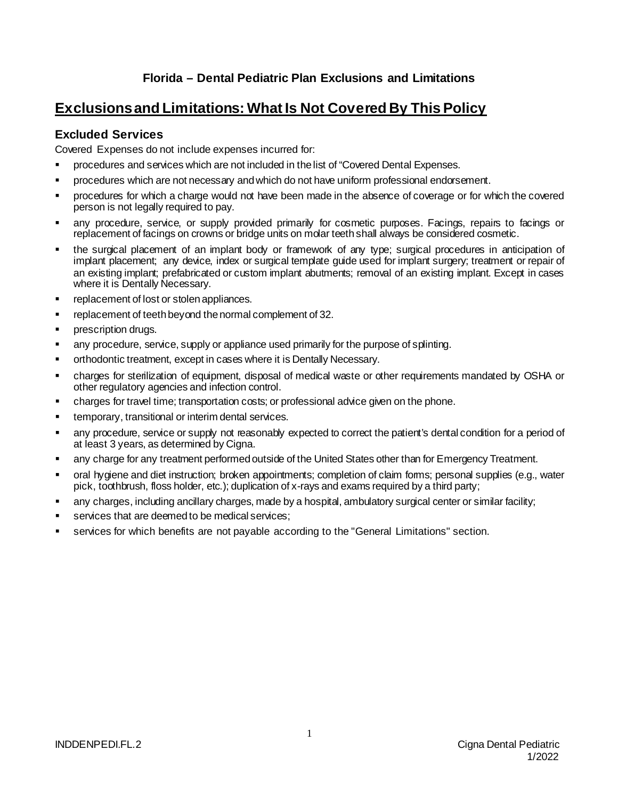## **Florida – Dental Pediatric Plan Exclusions and Limitations**

## **Exclusions and Limitations: What Is Not Covered By This Policy**

## **Excluded Services**

Covered Expenses do not include expenses incurred for:

- procedures and services which are not included in the list of "Covered Dental Expenses.
- procedures which are not necessary and which do not have uniform professional endorsement.
- procedures for which a charge would not have been made in the absence of coverage or for which the covered person is not legally required to pay.
- any procedure, service, or supply provided primarily for cosmetic purposes. Facings, repairs to facings or replacement of facings on crowns or bridge units on molar teeth shall always be considered cosmetic.
- the surgical placement of an implant body or framework of any type; surgical procedures in anticipation of implant placement; any device, index or surgical template guide used for implant surgery; treatment or repair of an existing implant; prefabricated or custom implant abutments; removal of an existing implant. Except in cases where it is Dentally Necessary.
- replacement of lost or stolen appliances.
- replacement of teeth beyond the normal complement of 32.
- prescription drugs.
- any procedure, service, supply or appliance used primarily for the purpose of splinting.
- orthodontic treatment, except in cases where it is Dentally Necessary.
- charges for sterilization of equipment, disposal of medical waste or other requirements mandated by OSHA or other regulatory agencies and infection control.
- charges for travel time; transportation costs; or professional advice given on the phone.
- temporary, transitional or interim dental services.
- any procedure, service or supply not reasonably expected to correct the patient's dental condition for a period of at least 3 years, as determined by Cigna.
- any charge for any treatment performed outside of the United States other than for Emergency Treatment.
- oral hygiene and diet instruction; broken appointments; completion of claim forms; personal supplies (e.g., water pick, toothbrush, floss holder, etc.); duplication of x-rays and exams required by a third party;
- any charges, including ancillary charges, made by a hospital, ambulatory surgical center or similar facility;
- services that are deemed to be medical services;
- services for which benefits are not payable according to the "General Limitations" section.